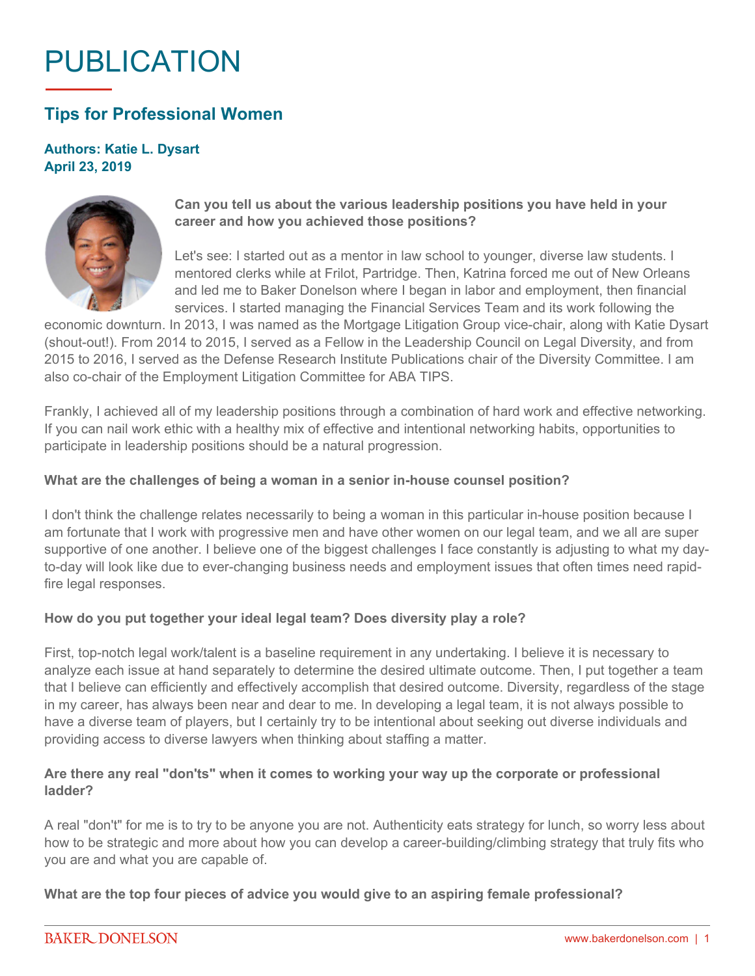# PUBLICATION

# **Tips for Professional Women**

## **Authors: Katie L. Dysart April 23, 2019**



# **Can you tell us about the various leadership positions you have held in your career and how you achieved those positions?**

Let's see: I started out as a mentor in law school to younger, diverse law students. I mentored clerks while at Frilot, Partridge. Then, Katrina forced me out of New Orleans and led me to Baker Donelson where I began in labor and employment, then financial services. I started managing the Financial Services Team and its work following the

economic downturn. In 2013, I was named as the Mortgage Litigation Group vice-chair, along with Katie Dysart (shout-out!). From 2014 to 2015, I served as a Fellow in the Leadership Council on Legal Diversity, and from 2015 to 2016, I served as the Defense Research Institute Publications chair of the Diversity Committee. I am also co-chair of the Employment Litigation Committee for ABA TIPS.

Frankly, I achieved all of my leadership positions through a combination of hard work and effective networking. If you can nail work ethic with a healthy mix of effective and intentional networking habits, opportunities to participate in leadership positions should be a natural progression.

#### **What are the challenges of being a woman in a senior in-house counsel position?**

I don't think the challenge relates necessarily to being a woman in this particular in-house position because I am fortunate that I work with progressive men and have other women on our legal team, and we all are super supportive of one another. I believe one of the biggest challenges I face constantly is adjusting to what my dayto-day will look like due to ever-changing business needs and employment issues that often times need rapidfire legal responses.

#### **How do you put together your ideal legal team? Does diversity play a role?**

First, top-notch legal work/talent is a baseline requirement in any undertaking. I believe it is necessary to analyze each issue at hand separately to determine the desired ultimate outcome. Then, I put together a team that I believe can efficiently and effectively accomplish that desired outcome. Diversity, regardless of the stage in my career, has always been near and dear to me. In developing a legal team, it is not always possible to have a diverse team of players, but I certainly try to be intentional about seeking out diverse individuals and providing access to diverse lawyers when thinking about staffing a matter.

## **Are there any real "don'ts" when it comes to working your way up the corporate or professional ladder?**

A real "don't" for me is to try to be anyone you are not. Authenticity eats strategy for lunch, so worry less about how to be strategic and more about how you can develop a career-building/climbing strategy that truly fits who you are and what you are capable of.

**What are the top four pieces of advice you would give to an aspiring female professional?**